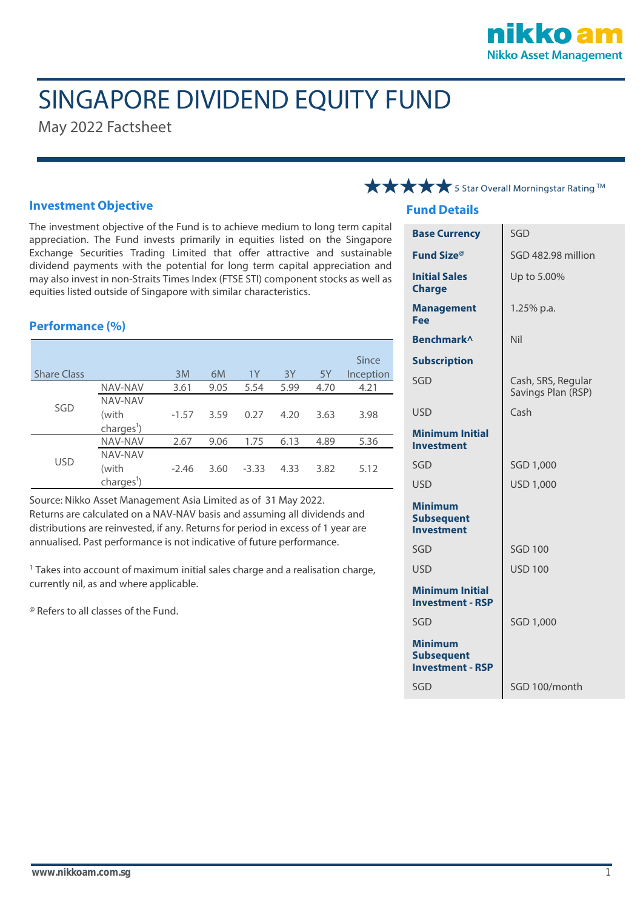

# SINGAPORE DIVIDEND EQUITY FUND

May 2022 Factsheet

#### **Investment Objective**

The investment objective of the Fund is to achieve medium to long term capital appreciation. The Fund invests primarily in equities listed on the Singapore Exchange Securities Trading Limited that offer attractive and sustainable dividend payments with the potential for long term capital appreciation and may also invest in non-Straits Times Index (FTSE STI) component stocks as well as equities listed outside of Singapore with similar characteristics.

#### **Performance (%)**

|                    |                        |         |      |         |      |      | Since     |
|--------------------|------------------------|---------|------|---------|------|------|-----------|
| <b>Share Class</b> |                        | 3M      | 6M   | 1Y      | 3Y   | 5Y   | Inception |
| SGD                | <b>NAV-NAV</b>         | 3.61    | 9.05 | 5.54    | 5.99 | 4.70 | 4.21      |
|                    | NAV-NAV                |         |      |         |      |      |           |
|                    | (with                  | $-1.57$ | 3.59 | 0.27    | 4.20 | 3.63 | 3.98      |
|                    | charges <sup>1</sup> ) |         |      |         |      |      |           |
| <b>USD</b>         | <b>NAV-NAV</b>         | 2.67    | 9.06 | 1.75    | 6.13 | 4.89 | 5.36      |
|                    | NAV-NAV                |         |      |         |      |      |           |
|                    | (with                  | $-2.46$ | 3.60 | $-3.33$ | 4.33 | 3.82 | 5.12      |
|                    | charges <sup>1</sup> ) |         |      |         |      |      |           |

Source: Nikko Asset Management Asia Limited as of 31 May 2022. Returns are calculated on a NAV-NAV basis and assuming all dividends and distributions are reinvested, if any. Returns for period in excess of 1 year are annualised. Past performance is not indicative of future performance.

<sup>1</sup> Takes into account of maximum initial sales charge and a realisation charge, currently nil, as and where applicable.

@ Refers to all classes of the Fund.

### **★★★★** 5 Star Overall Morningstar Rating TM

#### **Fund Details**

|                                                                | SGD                                      |  |  |
|----------------------------------------------------------------|------------------------------------------|--|--|
| <b>Base Currency</b>                                           |                                          |  |  |
| Fund Size®                                                     | SGD 482.98 million                       |  |  |
| <b>Initial Sales</b><br><b>Charge</b>                          | Up to 5.00%                              |  |  |
| <b>Management</b><br>Fee                                       | 1.25% p.a.                               |  |  |
| <b>Benchmark</b> <sup>^</sup>                                  | Nil                                      |  |  |
| <b>Subscription</b>                                            |                                          |  |  |
| SGD                                                            | Cash, SRS, Regular<br>Savings Plan (RSP) |  |  |
| <b>USD</b>                                                     | Cash                                     |  |  |
| <b>Minimum Initial</b><br><b>Investment</b>                    |                                          |  |  |
| SGD                                                            | SGD 1,000                                |  |  |
| <b>USD</b>                                                     | USD 1,000                                |  |  |
| <b>Minimum</b><br><b>Subsequent</b><br><b>Investment</b>       |                                          |  |  |
| SGD                                                            | <b>SGD 100</b>                           |  |  |
| <b>USD</b>                                                     | <b>USD 100</b>                           |  |  |
| <b>Minimum Initial</b><br><b>Investment - RSP</b>              |                                          |  |  |
| SGD                                                            | SGD 1,000                                |  |  |
| <b>Minimum</b><br><b>Subsequent</b><br><b>Investment - RSP</b> |                                          |  |  |
| SGD                                                            | SGD 100/month                            |  |  |
|                                                                |                                          |  |  |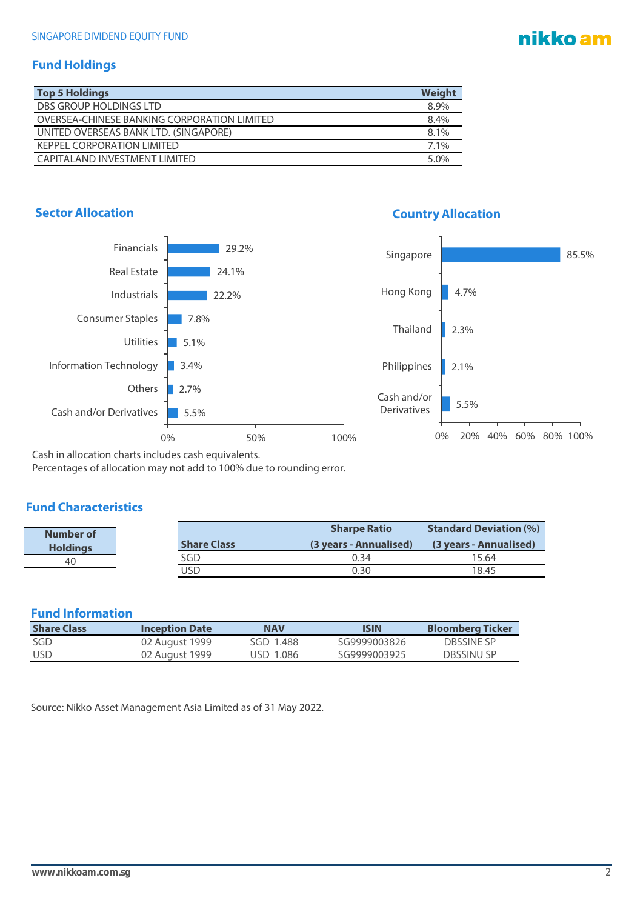## nikko am

#### **Fund Holdings**

| <b>Top 5 Holdings</b>                       | Weight |
|---------------------------------------------|--------|
| DBS GROUP HOLDINGS LTD                      | 8.9%   |
| OVERSEA-CHINESE BANKING CORPORATION LIMITED | 8.4%   |
| UNITED OVERSEAS BANK LTD. (SINGAPORE)       | 8.1%   |
| <b>KEPPEL CORPORATION LIMITED</b>           | 7.1%   |
| CAPITAL AND INVESTMENT LIMITED              | 5.0%   |





Cash in allocation charts includes cash equivalents.

Percentages of allocation may not add to 100% due to rounding error.

#### **Fund Characteristics**

| Number of       |                    | <b>Sharpe Ratio</b>    | <b>Standard Deviation (%)</b> |  |
|-----------------|--------------------|------------------------|-------------------------------|--|
| <b>Holdings</b> | <b>Share Class</b> | (3 years - Annualised) | (3 years - Annualised)        |  |
| 40              | SGD                | 0.34                   | 15.64                         |  |
|                 | JSD                | 0.30                   | 18.45                         |  |

### **Fund Information**

| <b>Share Class</b> | <b>Inception Date</b> | <b>NAV</b> | ISIN         | <b>Bloomberg Ticker</b> |
|--------------------|-----------------------|------------|--------------|-------------------------|
| SGD                | 02 August 1999        | SGD 1.488  | SG9999003826 | DRSSINE SP              |
| USD                | 02 August 1999        | USD 1.086  | SG9999003925 | DBSSINU SP              |

Source: Nikko Asset Management Asia Limited as of 31 May 2022.